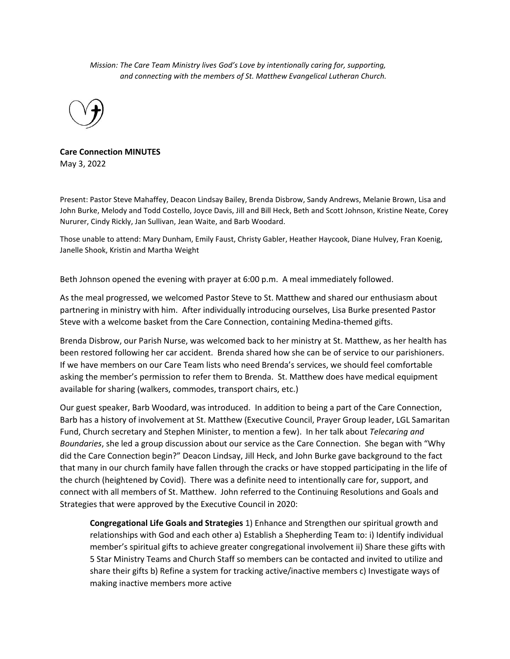*Mission: The Care Team Ministry lives God's Love by intentionally caring for, supporting, and connecting with the members of St. Matthew Evangelical Lutheran Church.*



**Care Connection MINUTES** May 3, 2022

Present: Pastor Steve Mahaffey, Deacon Lindsay Bailey, Brenda Disbrow, Sandy Andrews, Melanie Brown, Lisa and John Burke, Melody and Todd Costello, Joyce Davis, Jill and Bill Heck, Beth and Scott Johnson, Kristine Neate, Corey Nururer, Cindy Rickly, Jan Sullivan, Jean Waite, and Barb Woodard.

Those unable to attend: Mary Dunham, Emily Faust, Christy Gabler, Heather Haycook, Diane Hulvey, Fran Koenig, Janelle Shook, Kristin and Martha Weight

Beth Johnson opened the evening with prayer at 6:00 p.m. A meal immediately followed.

As the meal progressed, we welcomed Pastor Steve to St. Matthew and shared our enthusiasm about partnering in ministry with him. After individually introducing ourselves, Lisa Burke presented Pastor Steve with a welcome basket from the Care Connection, containing Medina-themed gifts.

Brenda Disbrow, our Parish Nurse, was welcomed back to her ministry at St. Matthew, as her health has been restored following her car accident. Brenda shared how she can be of service to our parishioners. If we have members on our Care Team lists who need Brenda's services, we should feel comfortable asking the member's permission to refer them to Brenda. St. Matthew does have medical equipment available for sharing (walkers, commodes, transport chairs, etc.)

Our guest speaker, Barb Woodard, was introduced. In addition to being a part of the Care Connection, Barb has a history of involvement at St. Matthew (Executive Council, Prayer Group leader, LGL Samaritan Fund, Church secretary and Stephen Minister, to mention a few). In her talk about *Telecaring and Boundaries*, she led a group discussion about our service as the Care Connection. She began with "Why did the Care Connection begin?" Deacon Lindsay, Jill Heck, and John Burke gave background to the fact that many in our church family have fallen through the cracks or have stopped participating in the life of the church (heightened by Covid). There was a definite need to intentionally care for, support, and connect with all members of St. Matthew. John referred to the Continuing Resolutions and Goals and Strategies that were approved by the Executive Council in 2020:

**Congregational Life Goals and Strategies** 1) Enhance and Strengthen our spiritual growth and relationships with God and each other a) Establish a Shepherding Team to: i) Identify individual member's spiritual gifts to achieve greater congregational involvement ii) Share these gifts with 5 Star Ministry Teams and Church Staff so members can be contacted and invited to utilize and share their gifts b) Refine a system for tracking active/inactive members c) Investigate ways of making inactive members more active